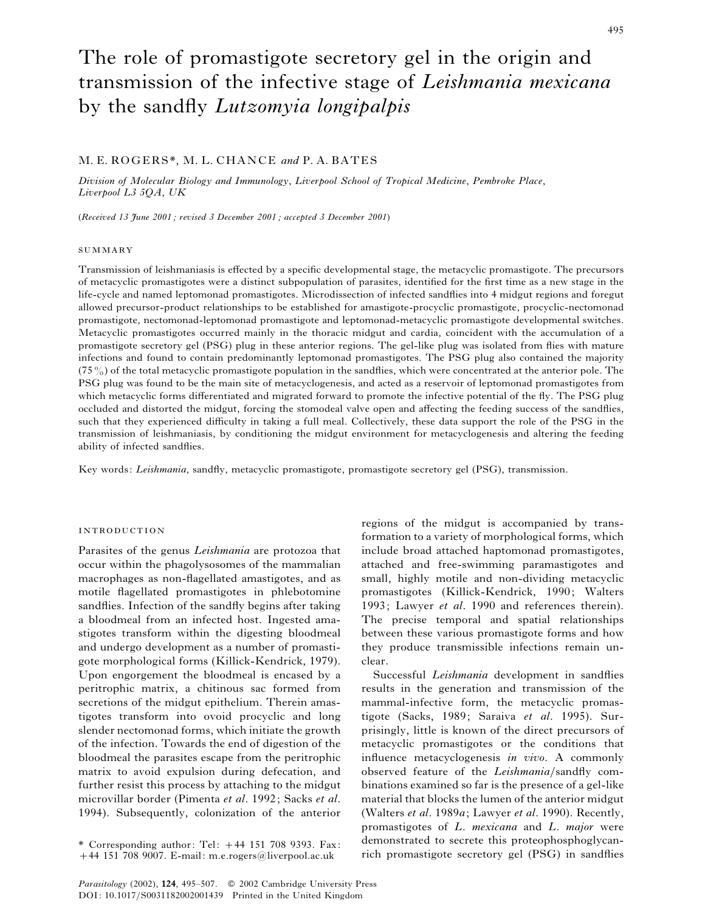# The role of promastigote secretory gel in the origin and transmission of the infective stage of *Leishmania mexicana* by the sandfly *Lutzomyia longipalpis*

## M. E. ROGERS \*, M. L. CHANCE *and* P. A. BATES

*Division of Molecular Biology and Immunology*, *Liverpool School of Tropical Medicine*, *Pembroke Place*, *Liverpool L3 5QA*, *UK*

(*Received 13 June 2001 ; revised 3 December 2001 ; accepted 3 December 2001*)

#### SUMMARY

Transmission of leishmaniasis is effected by a specific developmental stage, the metacyclic promastigote. The precursors of metacyclic promastigotes were a distinct subpopulation of parasites, identified for the first time as a new stage in the life-cycle and named leptomonad promastigotes. Microdissection of infected sandflies into 4 midgut regions and foregut allowed precursor-product relationships to be established for amastigote-procyclic promastigote, procyclic-nectomonad promastigote, nectomonad-leptomonad promastigote and leptomonad-metacyclic promastigote developmental switches. Metacyclic promastigotes occurred mainly in the thoracic midgut and cardia, coincident with the accumulation of a promastigote secretory gel (PSG) plug in these anterior regions. The gel-like plug was isolated from flies with mature infections and found to contain predominantly leptomonad promastigotes. The PSG plug also contained the majority (75%) of the total metacyclic promastigote population in the sandflies, which were concentrated at the anterior pole. The PSG plug was found to be the main site of metacyclogenesis, and acted as a reservoir of leptomonad promastigotes from which metacyclic forms differentiated and migrated forward to promote the infective potential of the fly. The PSG plug occluded and distorted the midgut, forcing the stomodeal valve open and affecting the feeding success of the sandflies, such that they experienced difficulty in taking a full meal. Collectively, these data support the role of the PSG in the transmission of leishmaniasis, by conditioning the midgut environment for metacyclogenesis and altering the feeding ability of infected sandflies.

Key words: *Leishmania*, sandfly, metacyclic promastigote, promastigote secretory gel (PSG), transmission.

### **INTRODUCTION**

Parasites of the genus *Leishmania* are protozoa that occur within the phagolysosomes of the mammalian macrophages as non-flagellated amastigotes, and as motile flagellated promastigotes in phlebotomine sandflies. Infection of the sandfly begins after taking a bloodmeal from an infected host. Ingested amastigotes transform within the digesting bloodmeal and undergo development as a number of promastigote morphological forms (Killick-Kendrick, 1979). Upon engorgement the bloodmeal is encased by a peritrophic matrix, a chitinous sac formed from secretions of the midgut epithelium. Therein amastigotes transform into ovoid procyclic and long slender nectomonad forms, which initiate the growth of the infection. Towards the end of digestion of the bloodmeal the parasites escape from the peritrophic matrix to avoid expulsion during defecation, and further resist this process by attaching to the midgut microvillar border (Pimenta *et al*. 1992; Sacks *et al*. 1994). Subsequently, colonization of the anterior

regions of the midgut is accompanied by transformation to a variety of morphological forms, which include broad attached haptomonad promastigotes, attached and free-swimming paramastigotes and small, highly motile and non-dividing metacyclic promastigotes (Killick-Kendrick, 1990; Walters 1993; Lawyer *et al*. 1990 and references therein). The precise temporal and spatial relationships between these various promastigote forms and how they produce transmissible infections remain unclear.

Successful *Leishmania* development in sandflies results in the generation and transmission of the mammal-infective form, the metacyclic promastigote (Sacks, 1989; Saraiva *et al*. 1995). Surprisingly, little is known of the direct precursors of metacyclic promastigotes or the conditions that influence metacyclogenesis *in vivo*. A commonly observed feature of the *Leishmania*/sandfly combinations examined so far is the presence of a gel-like material that blocks the lumen of the anterior midgut (Walters *et al*. 1989*a*; Lawyer *et al*. 1990). Recently, promastigotes of *L*. *mexicana* and *L*. *major* were demonstrated to secrete this proteophosphoglycanrich promastigote secretory gel (PSG) in sandflies

<sup>\*</sup> Corresponding author: Tel:  $+44$  151 708 9393. Fax:  $+44$  151 708 9007. E-mail: m.e.rogers@liverpool.ac.uk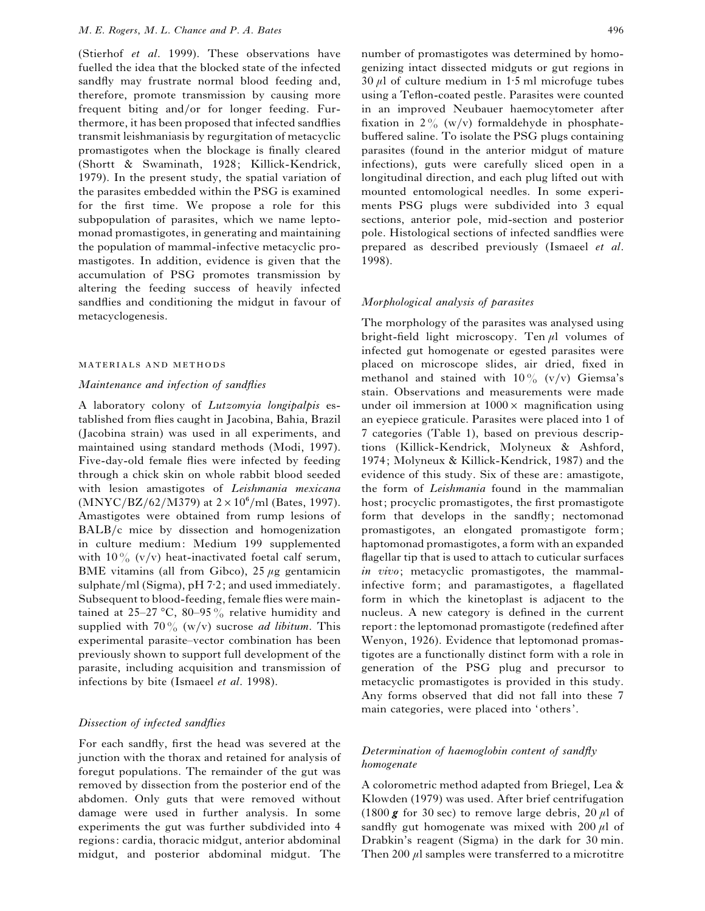(Stierhof *et al*. 1999). These observations have fuelled the idea that the blocked state of the infected sandfly may frustrate normal blood feeding and, therefore, promote transmission by causing more frequent biting and/or for longer feeding. Furthermore, it has been proposed that infected sandflies transmit leishmaniasis by regurgitation of metacyclic promastigotes when the blockage is finally cleared (Shortt & Swaminath, 1928; Killick-Kendrick, 1979). In the present study, the spatial variation of the parasites embedded within the PSG is examined for the first time. We propose a role for this subpopulation of parasites, which we name leptomonad promastigotes, in generating and maintaining the population of mammal-infective metacyclic promastigotes. In addition, evidence is given that the accumulation of PSG promotes transmission by altering the feeding success of heavily infected sandflies and conditioning the midgut in favour of metacyclogenesis.

## MATERIALS AND METHODS

## *Maintenance and infection of sandflies*

A laboratory colony of *Lutzomyia longipalpis* established from flies caught in Jacobina, Bahia, Brazil (Jacobina strain) was used in all experiments, and maintained using standard methods (Modi, 1997). Five-day-old female flies were infected by feeding through a chick skin on whole rabbit blood seeded with lesion amastigotes of *Leishmania mexicana*  $(MNYC/BZ/62/M379)$  at  $2\times10^{6}/ml$  (Bates, 1997). Amastigotes were obtained from rump lesions of BALB}c mice by dissection and homogenization in culture medium: Medium 199 supplemented with  $10\%$  (v/v) heat-inactivated foetal calf serum, BME vitamins (all from Gibco),  $25 \mu$ g gentamicin sulphate/ml (Sigma),  $pH 7.2$ ; and used immediately. Subsequent to blood-feeding, female flies were maintained at  $25-27$  °C,  $80-95\%$  relative humidity and supplied with  $70\%$  (w/v) sucrose *ad libitum*. This experimental parasite–vector combination has been previously shown to support full development of the parasite, including acquisition and transmission of infections by bite (Ismaeel *et al*. 1998).

# *Dissection of infected sandflies*

For each sandfly, first the head was severed at the junction with the thorax and retained for analysis of foregut populations. The remainder of the gut was removed by dissection from the posterior end of the abdomen. Only guts that were removed without damage were used in further analysis. In some experiments the gut was further subdivided into 4 regions: cardia, thoracic midgut, anterior abdominal midgut, and posterior abdominal midgut. The

number of promastigotes was determined by homogenizing intact dissected midguts or gut regions in  $30 \mu l$  of culture medium in 1.5 ml microfuge tubes using a Teflon-coated pestle. Parasites were counted in an improved Neubauer haemocytometer after fixation in  $2\frac{\pi}{9}$  (w/v) formaldehyde in phosphatebuffered saline. To isolate the PSG plugs containing parasites (found in the anterior midgut of mature infections), guts were carefully sliced open in a longitudinal direction, and each plug lifted out with mounted entomological needles. In some experiments PSG plugs were subdivided into 3 equal sections, anterior pole, mid-section and posterior pole. Histological sections of infected sandflies were prepared as described previously (Ismaeel *et al*. 1998).

## *Morphological analysis of parasites*

The morphology of the parasites was analysed using bright-field light microscopy. Ten  $\mu$ l volumes of infected gut homogenate or egested parasites were placed on microscope slides, air dried, fixed in methanol and stained with  $10\%$  (v/v) Giemsa's stain. Observations and measurements were made under oil immersion at  $1000 \times$  magnification using an eyepiece graticule. Parasites were placed into 1 of 7 categories (Table 1), based on previous descriptions (Killick-Kendrick, Molyneux & Ashford, 1974; Molyneux & Killick-Kendrick, 1987) and the evidence of this study. Six of these are: amastigote, the form of *Leishmania* found in the mammalian host; procyclic promastigotes, the first promastigote form that develops in the sandfly; nectomonad promastigotes, an elongated promastigote form; haptomonad promastigotes, a form with an expanded flagellar tip that is used to attach to cuticular surfaces *in vivo*; metacyclic promastigotes, the mammalinfective form; and paramastigotes, a flagellated form in which the kinetoplast is adjacent to the nucleus. A new category is defined in the current report: the leptomonad promastigote (redefined after Wenyon, 1926). Evidence that leptomonad promastigotes are a functionally distinct form with a role in generation of the PSG plug and precursor to metacyclic promastigotes is provided in this study. Any forms observed that did not fall into these 7 main categories, were placed into 'others'.

# *Determination of haemoglobin content of sandfly homogenate*

A colorometric method adapted from Briegel, Lea & Klowden (1979) was used. After brief centrifugation (1800  $\boldsymbol{g}$  for 30 sec) to remove large debris, 20  $\mu$ l of sandfly gut homogenate was mixed with  $200 \mu l$  of Drabkin's reagent (Sigma) in the dark for 30 min. Then  $200 \mu l$  samples were transferred to a microtitre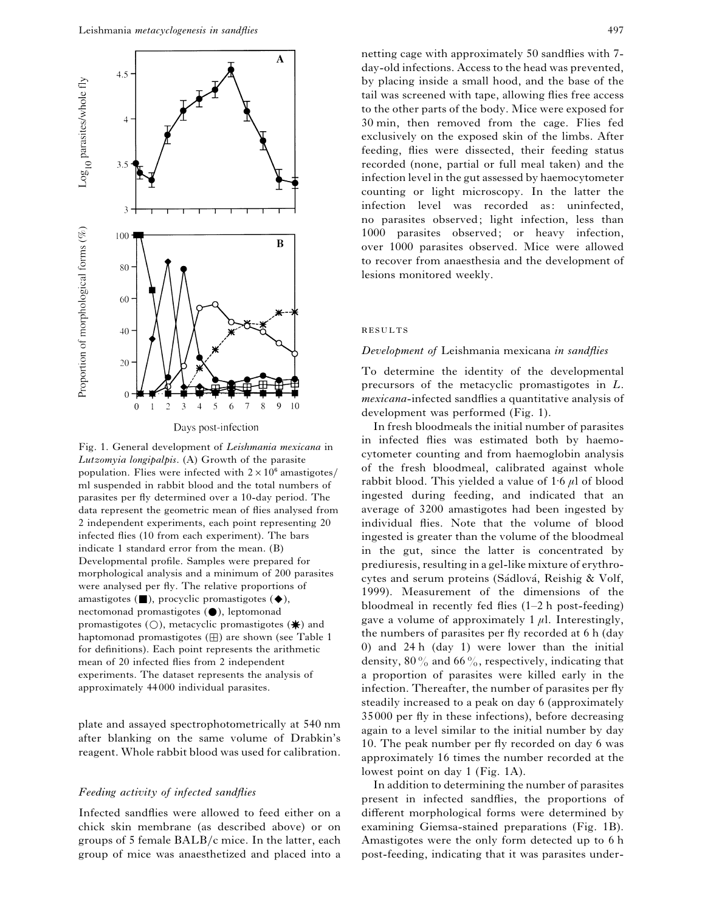

Days post-infection

Fig. 1. General development of *Leishmania mexicana* in *Lutzomyia longipalpis*. (A) Growth of the parasite population. Flies were infected with  $2 \times 10^6$  amastigotes/ ml suspended in rabbit blood and the total numbers of parasites per fly determined over a 10-day period. The data represent the geometric mean of flies analysed from 2 independent experiments, each point representing 20 infected flies (10 from each experiment). The bars indicate 1 standard error from the mean. (B) Developmental profile. Samples were prepared for morphological analysis and a minimum of 200 parasites were analysed per fly. The relative proportions of amastigotes  $(\blacksquare)$ , procyclic promastigotes  $(\blacklozenge)$ , nectomonad promastigotes  $($   $)$ , leptomonad promastigotes ( $\bigcirc$ ), metacyclic promastigotes ( $\bigstar$ ) and haptomonad promastigotes  $(\boxplus)$  are shown (see Table 1 for definitions). Each point represents the arithmetic mean of 20 infected flies from 2 independent experiments. The dataset represents the analysis of approximately 44 000 individual parasites.

plate and assayed spectrophotometrically at 540 nm after blanking on the same volume of Drabkin's reagent. Whole rabbit blood was used for calibration.

# *Feeding activity of infected sandflies*

Infected sandflies were allowed to feed either on a chick skin membrane (as described above) or on groups of 5 female BALB}c mice. In the latter, each group of mice was anaesthetized and placed into a

netting cage with approximately 50 sandflies with 7 day-old infections. Access to the head was prevented, by placing inside a small hood, and the base of the tail was screened with tape, allowing flies free access to the other parts of the body. Mice were exposed for 30 min, then removed from the cage. Flies fed exclusively on the exposed skin of the limbs. After feeding, flies were dissected, their feeding status recorded (none, partial or full meal taken) and the infection level in the gut assessed by haemocytometer counting or light microscopy. In the latter the infection level was recorded as: uninfected, no parasites observed; light infection, less than 1000 parasites observed; or heavy infection, over 1000 parasites observed. Mice were allowed to recover from anaesthesia and the development of lesions monitored weekly.

#### **RESULTS**

#### *Development of* Leishmania mexicana *in sandflies*

To determine the identity of the developmental precursors of the metacyclic promastigotes in *L*. *mexicana*-infected sandflies a quantitative analysis of development was performed (Fig. 1).

In fresh bloodmeals the initial number of parasites in infected flies was estimated both by haemocytometer counting and from haemoglobin analysis of the fresh bloodmeal, calibrated against whole rabbit blood. This yielded a value of  $1.6 \mu$ l of blood ingested during feeding, and indicated that an average of 3200 amastigotes had been ingested by individual flies. Note that the volume of blood ingested is greater than the volume of the bloodmeal in the gut, since the latter is concentrated by prediuresis, resulting in a gel-like mixture of erythrocytes and serum proteins (Sádlová, Reishig & Volf, 1999). Measurement of the dimensions of the bloodmeal in recently fed flies (1–2 h post-feeding) gave a volume of approximately 1  $\mu$ l. Interestingly, the numbers of parasites per fly recorded at 6 h (day 0) and 24 h (day 1) were lower than the initial density,  $80\%$  and  $66\%$ , respectively, indicating that a proportion of parasites were killed early in the infection. Thereafter, the number of parasites per fly steadily increased to a peak on day 6 (approximately 35000 per fly in these infections), before decreasing again to a level similar to the initial number by day 10. The peak number per fly recorded on day 6 was approximately 16 times the number recorded at the lowest point on day 1 (Fig. 1A).

In addition to determining the number of parasites present in infected sandflies, the proportions of different morphological forms were determined by examining Giemsa-stained preparations (Fig. 1B). Amastigotes were the only form detected up to 6 h post-feeding, indicating that it was parasites under-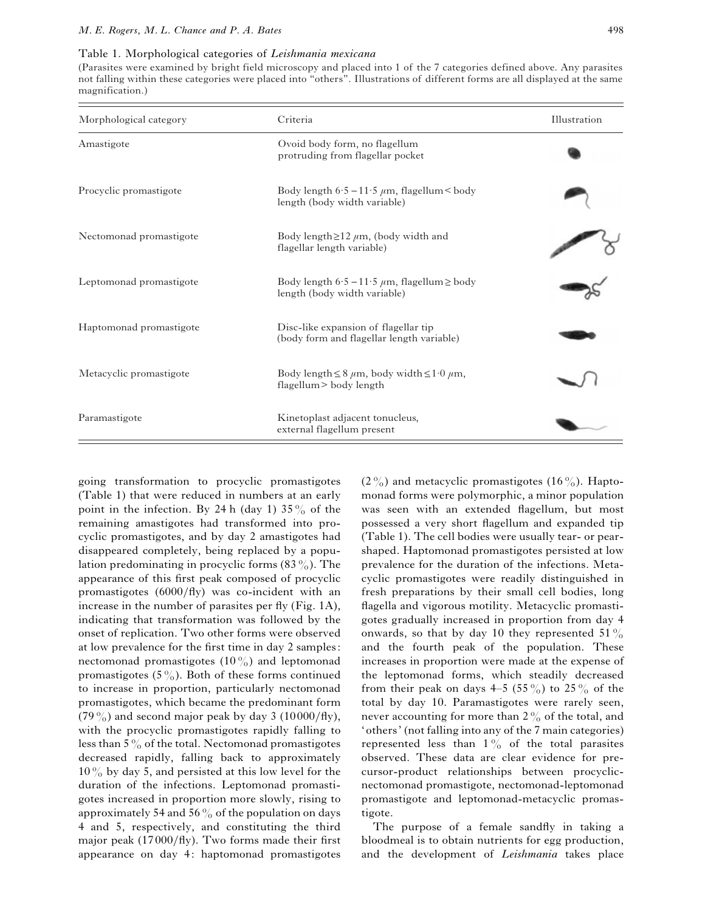#### Table 1. Morphological categories of *Leishmania mexicana*

(Parasites were examined by bright field microscopy and placed into 1 of the 7 categories defined above. Any parasites not falling within these categories were placed into "others". Illustrations of different forms are all displayed at the same magnification.)

| Morphological category  | Criteria                                                                              | Illustration |  |
|-------------------------|---------------------------------------------------------------------------------------|--------------|--|
| Amastigote              | Ovoid body form, no flagellum<br>protruding from flagellar pocket                     |              |  |
| Procyclic promastigote  | Body length $6.5 - 11.5 \ \mu m$ , flagellum < body<br>length (body width variable)   |              |  |
| Nectomonad promastigote | Body length $\geq$ 12 $\mu$ m, (body width and<br>flagellar length variable)          |              |  |
| Leptomonad promastigote | Body length 6.5 – 11.5 $\mu$ m, flagellum $\geq$ body<br>length (body width variable) |              |  |
| Haptomonad promastigote | Disc-like expansion of flagellar tip<br>(body form and flagellar length variable)     |              |  |
| Metacyclic promastigote | Body length $\leq 8 \mu m$ , body width $\leq 1.0 \mu m$ ,<br>flagellum> body length  |              |  |
| Paramastigote           | Kinetoplast adjacent tonucleus,<br>external flagellum present                         |              |  |

going transformation to procyclic promastigotes (Table 1) that were reduced in numbers at an early point in the infection. By 24 h (day 1)  $35\%$  of the remaining amastigotes had transformed into procyclic promastigotes, and by day 2 amastigotes had disappeared completely, being replaced by a population predominating in procyclic forms  $(83\%)$ . The appearance of this first peak composed of procyclic promastigotes  $(6000/\text{fly})$  was co-incident with an increase in the number of parasites per fly (Fig. 1A), indicating that transformation was followed by the onset of replication. Two other forms were observed at low prevalence for the first time in day 2 samples: nectomonad promastigotes  $(10\%)$  and leptomonad promastigotes  $(5\%)$ . Both of these forms continued to increase in proportion, particularly nectomonad promastigotes, which became the predominant form  $(79\%)$  and second major peak by day 3 (10000/fly), with the procyclic promastigotes rapidly falling to less than  $5\%$  of the total. Nectomonad promastigotes decreased rapidly, falling back to approximately  $10\%$  by day 5, and persisted at this low level for the duration of the infections. Leptomonad promastigotes increased in proportion more slowly, rising to approximately 54 and 56 $\%$  of the population on days 4 and 5, respectively, and constituting the third major peak  $(17000/\text{fly})$ . Two forms made their first appearance on day 4: haptomonad promastigotes  $(2\%)$  and metacyclic promastigotes  $(16\%)$ . Haptomonad forms were polymorphic, a minor population was seen with an extended flagellum, but most possessed a very short flagellum and expanded tip (Table 1). The cell bodies were usually tear- or pearshaped. Haptomonad promastigotes persisted at low prevalence for the duration of the infections. Metacyclic promastigotes were readily distinguished in fresh preparations by their small cell bodies, long flagella and vigorous motility. Metacyclic promastigotes gradually increased in proportion from day 4 onwards, so that by day 10 they represented 51% and the fourth peak of the population. These increases in proportion were made at the expense of the leptomonad forms, which steadily decreased from their peak on days  $4-5$  (55%) to 25% of the total by day 10. Paramastigotes were rarely seen, never accounting for more than  $2\frac{9}{6}$  of the total, and 'others' (not falling into any of the 7 main categories) represented less than  $1\%$  of the total parasites observed. These data are clear evidence for precursor-product relationships between procyclicnectomonad promastigote, nectomonad-leptomonad promastigote and leptomonad-metacyclic promastigote.

The purpose of a female sandfly in taking a bloodmeal is to obtain nutrients for egg production, and the development of *Leishmania* takes place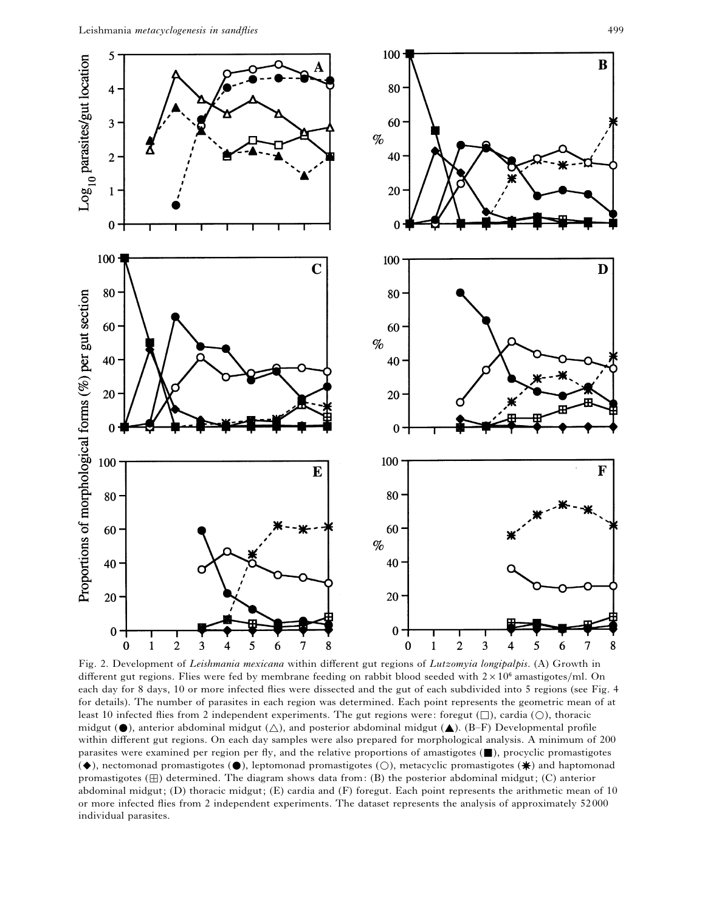

Fig. 2. Development of *Leishmania mexicana* within different gut regions of *Lutzomyia longipalpis*. (A) Growth in different gut regions. Flies were fed by membrane feeding on rabbit blood seeded with  $2\times10^6$  amastigotes/ml. On each day for 8 days, 10 or more infected flies were dissected and the gut of each subdivided into 5 regions (see Fig. 4 for details). The number of parasites in each region was determined. Each point represents the geometric mean of at least 10 infected flies from 2 independent experiments. The gut regions were: foregut  $(\Box)$ , cardia ( $\bigcirc$ ), thoracic midgut ( $\bullet$ ), anterior abdominal midgut ( $\triangle$ ), and posterior abdominal midgut ( $\blacktriangle$ ). (B–F) Developmental profile within different gut regions. On each day samples were also prepared for morphological analysis. A minimum of 200 parasites were examined per region per fly, and the relative proportions of amastigotes (+), procyclic promastigotes ( $\blacklozenge$ ), nectomonad promastigotes ( $\blacklozenge$ ), leptomonad promastigotes ( $\bigcirc$ ), metacyclic promastigotes ( $\clubsuit$ ) and haptomonad promastigotes  $(\boxplus)$  determined. The diagram shows data from: (B) the posterior abdominal midgut; (C) anterior abdominal midgut; (D) thoracic midgut; (E) cardia and (F) foregut. Each point represents the arithmetic mean of 10 or more infected flies from 2 independent experiments. The dataset represents the analysis of approximately 52 000 individual parasites.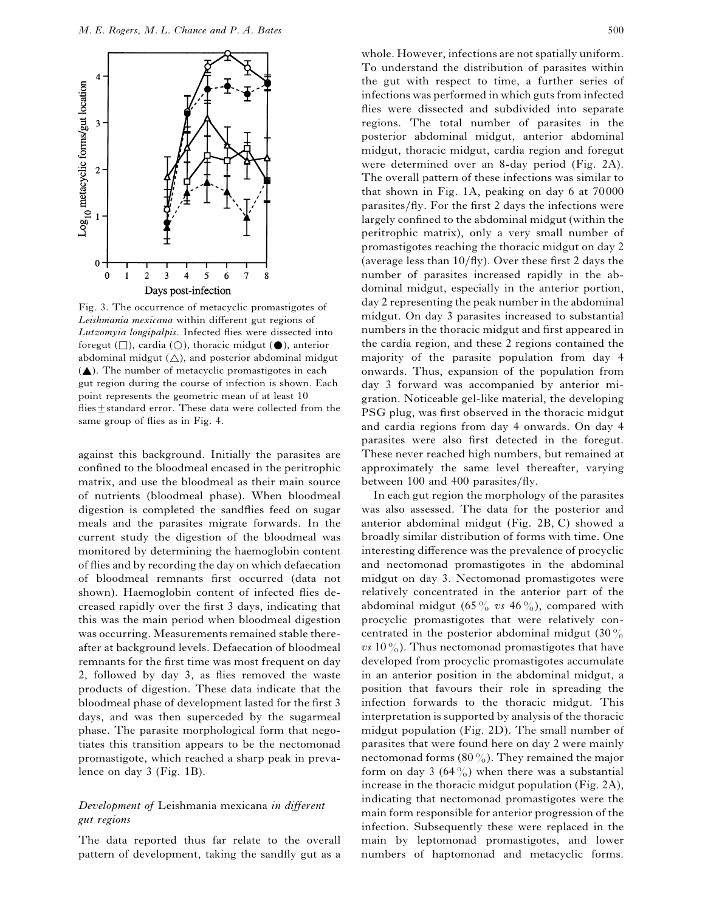

Fig. 3. The occurrence of metacyclic promastigotes of *Leishmania mexicana* within different gut regions of *Lutzomyia longipalpis*. Infected flies were dissected into foregut  $(\square)$ , cardia  $(\bigcirc)$ , thoracic midgut  $(\bullet)$ , anterior abdominal midgut  $(\triangle)$ , and posterior abdominal midgut  $(\triangle)$ . The number of metacyclic promastigotes in each gut region during the course of infection is shown. Each point represents the geometric mean of at least 10 flies $\pm$ standard error. These data were collected from the same group of flies as in Fig. 4.

against this background. Initially the parasites are confined to the bloodmeal encased in the peritrophic matrix, and use the bloodmeal as their main source of nutrients (bloodmeal phase). When bloodmeal digestion is completed the sandflies feed on sugar meals and the parasites migrate forwards. In the current study the digestion of the bloodmeal was monitored by determining the haemoglobin content of flies and by recording the day on which defaecation of bloodmeal remnants first occurred (data not shown). Haemoglobin content of infected flies decreased rapidly over the first 3 days, indicating that this was the main period when bloodmeal digestion was occurring. Measurements remained stable thereafter at background levels. Defaecation of bloodmeal remnants for the first time was most frequent on day 2, followed by day 3, as flies removed the waste products of digestion. These data indicate that the bloodmeal phase of development lasted for the first 3 days, and was then superceded by the sugarmeal phase. The parasite morphological form that negotiates this transition appears to be the nectomonad promastigote, which reached a sharp peak in prevalence on day 3 (Fig. 1B).

# *Development of* Leishmania mexicana *in different gut regions*

The data reported thus far relate to the overall pattern of development, taking the sandfly gut as a whole. However, infections are not spatially uniform. To understand the distribution of parasites within the gut with respect to time, a further series of infections was performed in which guts from infected flies were dissected and subdivided into separate regions. The total number of parasites in the posterior abdominal midgut, anterior abdominal midgut, thoracic midgut, cardia region and foregut were determined over an 8-day period (Fig. 2A). The overall pattern of these infections was similar to that shown in Fig. 1A, peaking on day 6 at 70000 parasites}fly. For the first 2 days the infections were largely confined to the abdominal midgut (within the peritrophic matrix), only a very small number of promastigotes reaching the thoracic midgut on day 2 (average less than  $10/\text{fly}$ ). Over these first 2 days the number of parasites increased rapidly in the abdominal midgut, especially in the anterior portion, day 2 representing the peak number in the abdominal midgut. On day 3 parasites increased to substantial numbers in the thoracic midgut and first appeared in the cardia region, and these 2 regions contained the majority of the parasite population from day 4 onwards. Thus, expansion of the population from day 3 forward was accompanied by anterior migration. Noticeable gel-like material, the developing PSG plug, was first observed in the thoracic midgut and cardia regions from day 4 onwards. On day 4 parasites were also first detected in the foregut. These never reached high numbers, but remained at approximately the same level thereafter, varying between  $100$  and  $400$  parasites/fly.

In each gut region the morphology of the parasites was also assessed. The data for the posterior and anterior abdominal midgut (Fig. 2B, C) showed a broadly similar distribution of forms with time. One interesting difference was the prevalence of procyclic and nectomonad promastigotes in the abdominal midgut on day 3. Nectomonad promastigotes were relatively concentrated in the anterior part of the abdominal midgut  $(65\% \text{ vs } 46\%)$ , compared with procyclic promastigotes that were relatively concentrated in the posterior abdominal midgut  $(30\%$ *vs* 10 $\%$ ). Thus nectomonad promastigotes that have developed from procyclic promastigotes accumulate in an anterior position in the abdominal midgut, a position that favours their role in spreading the infection forwards to the thoracic midgut. This interpretation is supported by analysis of the thoracic midgut population (Fig. 2D). The small number of parasites that were found here on day 2 were mainly nectomonad forms  $(80\%)$ . They remained the major form on day 3 (64%) when there was a substantial increase in the thoracic midgut population (Fig. 2A), indicating that nectomonad promastigotes were the main form responsible for anterior progression of the infection. Subsequently these were replaced in the main by leptomonad promastigotes, and lower numbers of haptomonad and metacyclic forms.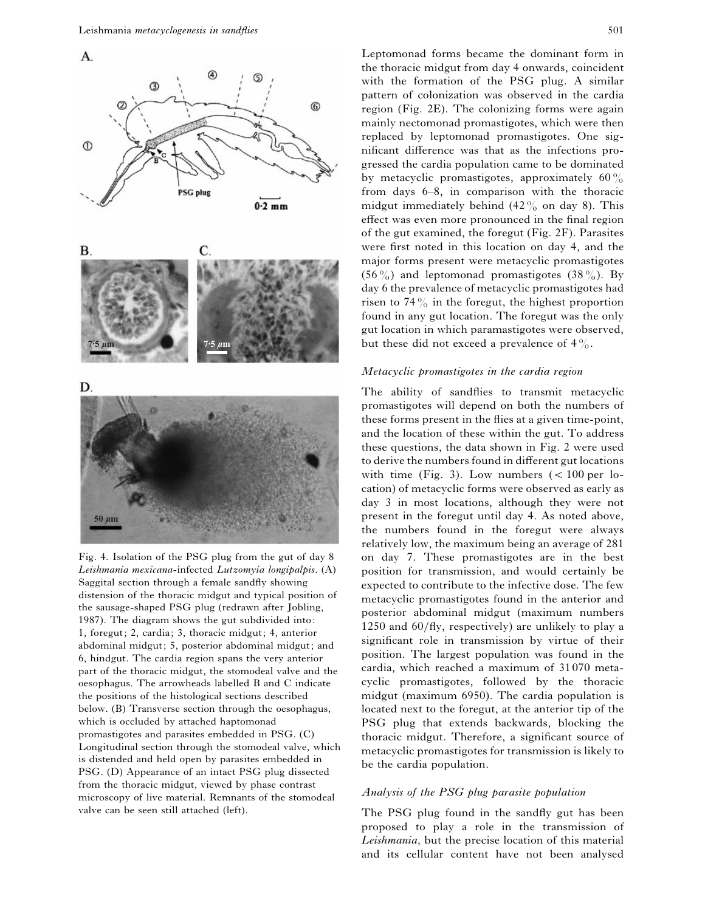

Fig. 4. Isolation of the PSG plug from the gut of day 8 *Leishmania mexicana*-infected *Lutzomyia longipalpis*. (A) Saggital section through a female sandfly showing distension of the thoracic midgut and typical position of the sausage-shaped PSG plug (redrawn after Jobling, 1987). The diagram shows the gut subdivided into: 1, foregut; 2, cardia; 3, thoracic midgut; 4, anterior abdominal midgut; 5, posterior abdominal midgut; and 6, hindgut. The cardia region spans the very anterior part of the thoracic midgut, the stomodeal valve and the oesophagus. The arrowheads labelled B and C indicate the positions of the histological sections described below. (B) Transverse section through the oesophagus, which is occluded by attached haptomonad promastigotes and parasites embedded in PSG. (C) Longitudinal section through the stomodeal valve, which is distended and held open by parasites embedded in PSG. (D) Appearance of an intact PSG plug dissected from the thoracic midgut, viewed by phase contrast microscopy of live material. Remnants of the stomodeal valve can be seen still attached (left).

Leptomonad forms became the dominant form in the thoracic midgut from day 4 onwards, coincident with the formation of the PSG plug. A similar pattern of colonization was observed in the cardia region (Fig. 2E). The colonizing forms were again mainly nectomonad promastigotes, which were then replaced by leptomonad promastigotes. One significant difference was that as the infections progressed the cardia population came to be dominated by metacyclic promastigotes, approximately  $60\%$ from days 6–8, in comparison with the thoracic midgut immediately behind  $(42\%$  on day 8). This effect was even more pronounced in the final region of the gut examined, the foregut (Fig. 2F). Parasites

were first noted in this location on day 4, and the major forms present were metacyclic promastigotes  $(56\%)$  and leptomonad promastigotes  $(38\%)$ . By day 6 the prevalence of metacyclic promastigotes had risen to  $74\%$  in the foregut, the highest proportion found in any gut location. The foregut was the only gut location in which paramastigotes were observed, but these did not exceed a prevalence of  $4\%$ .

#### *Metacyclic promastigotes in the cardia region*

The ability of sandflies to transmit metacyclic promastigotes will depend on both the numbers of these forms present in the flies at a given time-point, and the location of these within the gut. To address these questions, the data shown in Fig. 2 were used to derive the numbers found in different gut locations with time (Fig. 3). Low numbers  $( $100$  per lo$ cation) of metacyclic forms were observed as early as day 3 in most locations, although they were not present in the foregut until day 4. As noted above, the numbers found in the foregut were always relatively low, the maximum being an average of 281 on day 7. These promastigotes are in the best position for transmission, and would certainly be expected to contribute to the infective dose. The few metacyclic promastigotes found in the anterior and posterior abdominal midgut (maximum numbers 1250 and  $60$ /fly, respectively) are unlikely to play a significant role in transmission by virtue of their position. The largest population was found in the cardia, which reached a maximum of 31070 metacyclic promastigotes, followed by the thoracic midgut (maximum 6950). The cardia population is located next to the foregut, at the anterior tip of the PSG plug that extends backwards, blocking the thoracic midgut. Therefore, a significant source of metacyclic promastigotes for transmission is likely to be the cardia population.

# *Analysis of the PSG plug parasite population*

The PSG plug found in the sandfly gut has been proposed to play a role in the transmission of *Leishmania*, but the precise location of this material and its cellular content have not been analysed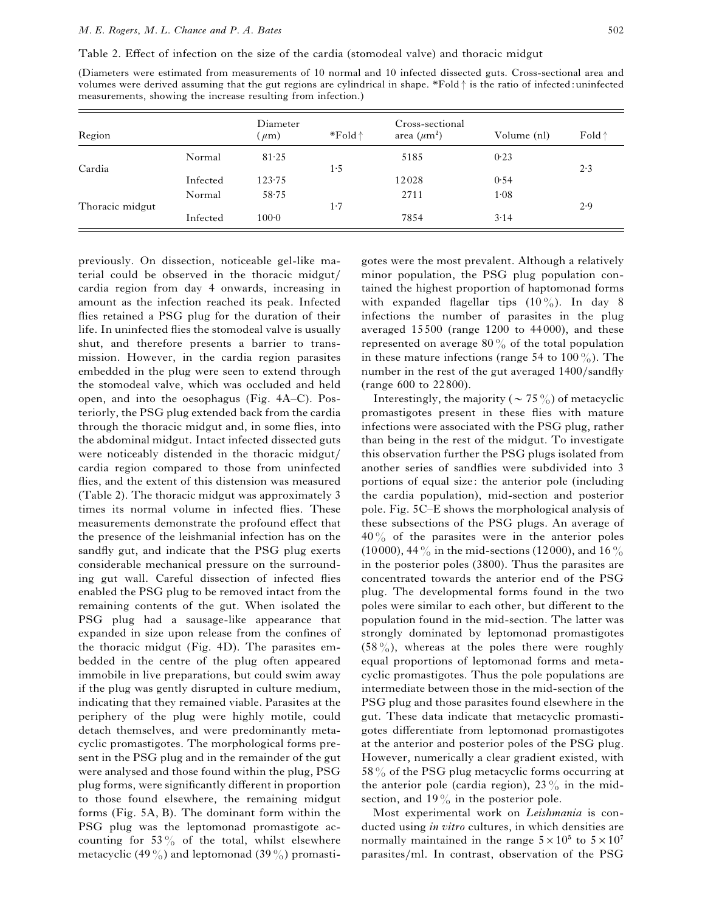(Diameters were estimated from measurements of 10 normal and 10 infected dissected guts. Cross-sectional area and volumes were derived assuming that the gut regions are cylindrical in shape.  $*Fold \uparrow$  is the ratio of infected:uninfected measurements, showing the increase resulting from infection.)

| Region          |          | Diameter<br>$(\mu m)$ | $*_{\text{Fold}} \uparrow$ | Cross-sectional<br>area $(\mu m^2)$ | Volume (nl) | Fold $\uparrow$ |
|-----------------|----------|-----------------------|----------------------------|-------------------------------------|-------------|-----------------|
| Cardia          | Normal   | 81.25                 |                            | 5185                                | 0.23        | 2.3             |
|                 | Infected | 123.75                | 1.5                        | 12028                               | 0.54        |                 |
|                 | Normal   | 58.75                 |                            | 2711                                | 1.08        |                 |
| Thoracic midgut | Infected | 100 <sub>0</sub>      | 1.7                        | 7854                                | 3.14        | 2.9             |

previously. On dissection, noticeable gel-like material could be observed in the thoracic midgut/ cardia region from day 4 onwards, increasing in amount as the infection reached its peak. Infected flies retained a PSG plug for the duration of their life. In uninfected flies the stomodeal valve is usually shut, and therefore presents a barrier to transmission. However, in the cardia region parasites embedded in the plug were seen to extend through the stomodeal valve, which was occluded and held open, and into the oesophagus (Fig. 4A–C). Posteriorly, the PSG plug extended back from the cardia through the thoracic midgut and, in some flies, into the abdominal midgut. Intact infected dissected guts were noticeably distended in the thoracic midgut/ cardia region compared to those from uninfected flies, and the extent of this distension was measured (Table 2). The thoracic midgut was approximately 3 times its normal volume in infected flies. These measurements demonstrate the profound effect that the presence of the leishmanial infection has on the sandfly gut, and indicate that the PSG plug exerts considerable mechanical pressure on the surrounding gut wall. Careful dissection of infected flies enabled the PSG plug to be removed intact from the remaining contents of the gut. When isolated the PSG plug had a sausage-like appearance that expanded in size upon release from the confines of the thoracic midgut (Fig. 4D). The parasites embedded in the centre of the plug often appeared immobile in live preparations, but could swim away if the plug was gently disrupted in culture medium, indicating that they remained viable. Parasites at the periphery of the plug were highly motile, could detach themselves, and were predominantly metacyclic promastigotes. The morphological forms present in the PSG plug and in the remainder of the gut were analysed and those found within the plug, PSG plug forms, were significantly different in proportion to those found elsewhere, the remaining midgut forms (Fig. 5A, B). The dominant form within the PSG plug was the leptomonad promastigote accounting for  $53\%$  of the total, whilst elsewhere metacyclic (49 $\frac{\%}{\%}$ ) and leptomonad (39 $\frac{\%}{\%}$ ) promastigotes were the most prevalent. Although a relatively minor population, the PSG plug population contained the highest proportion of haptomonad forms with expanded flagellar tips  $(10\%)$ . In day 8 infections the number of parasites in the plug averaged 15500 (range 1200 to 44000), and these represented on average  $80\%$  of the total population in these mature infections (range 54 to  $100\%$ ). The number in the rest of the gut averaged 1400/sandfly (range 600 to 22800).

Interestingly, the majority ( $\sim$  75%) of metacyclic promastigotes present in these flies with mature infections were associated with the PSG plug, rather than being in the rest of the midgut. To investigate this observation further the PSG plugs isolated from another series of sandflies were subdivided into 3 portions of equal size: the anterior pole (including the cardia population), mid-section and posterior pole. Fig. 5C–E shows the morphological analysis of these subsections of the PSG plugs. An average of  $40\%$  of the parasites were in the anterior poles (10000), 44  $\%$  in the mid-sections (12000), and 16  $\%$ in the posterior poles (3800). Thus the parasites are concentrated towards the anterior end of the PSG plug. The developmental forms found in the two poles were similar to each other, but different to the population found in the mid-section. The latter was strongly dominated by leptomonad promastigotes  $(58\%)$ , whereas at the poles there were roughly equal proportions of leptomonad forms and metacyclic promastigotes. Thus the pole populations are intermediate between those in the mid-section of the PSG plug and those parasites found elsewhere in the gut. These data indicate that metacyclic promastigotes differentiate from leptomonad promastigotes at the anterior and posterior poles of the PSG plug. However, numerically a clear gradient existed, with 58 $\%$  of the PSG plug metacyclic forms occurring at the anterior pole (cardia region),  $23\%$  in the midsection, and  $19\%$  in the posterior pole.

Most experimental work on *Leishmania* is conducted using *in vitro* cultures, in which densities are normally maintained in the range  $5 \times 10^5$  to  $5 \times 10^7$ parasites/ml. In contrast, observation of the PSG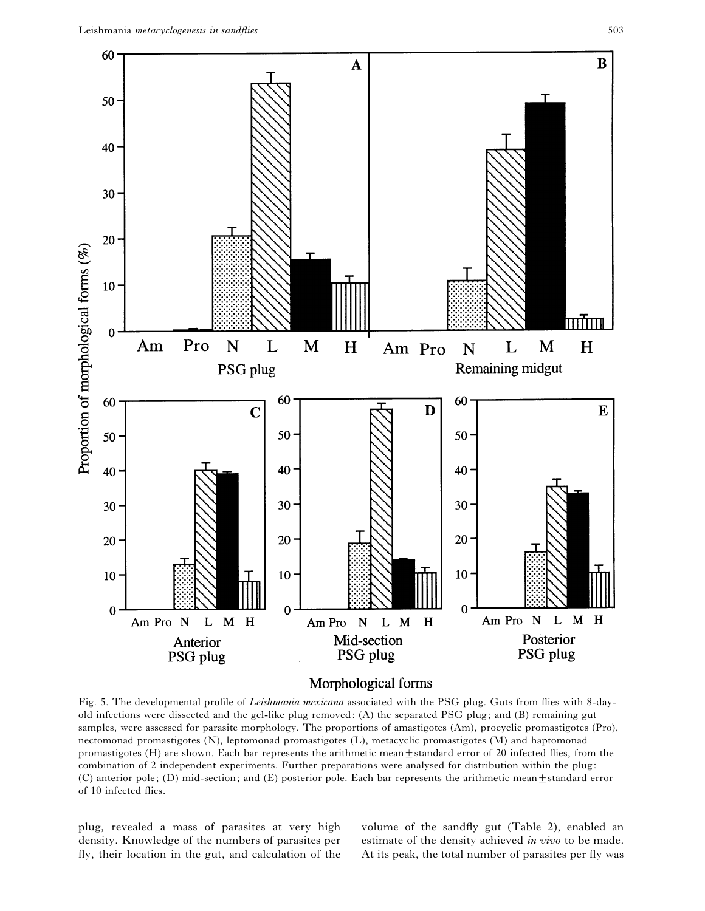

Fig. 5. The developmental profile of *Leishmania mexicana* associated with the PSG plug. Guts from flies with 8-dayold infections were dissected and the gel-like plug removed: (A) the separated PSG plug; and (B) remaining gut samples, were assessed for parasite morphology. The proportions of amastigotes (Am), procyclic promastigotes (Pro), nectomonad promastigotes (N), leptomonad promastigotes (L), metacyclic promastigotes (M) and haptomonad promastigotes (H) are shown. Each bar represents the arithmetic mean $\pm$ standard error of 20 infected flies, from the combination of 2 independent experiments. Further preparations were analysed for distribution within the plug: (C) anterior pole; (D) mid-section; and (E) posterior pole. Each bar represents the arithmetic mean $\pm$ standard error of 10 infected flies.

plug, revealed a mass of parasites at very high density. Knowledge of the numbers of parasites per fly, their location in the gut, and calculation of the

volume of the sandfly gut (Table 2), enabled an estimate of the density achieved *in vivo* to be made. At its peak, the total number of parasites per fly was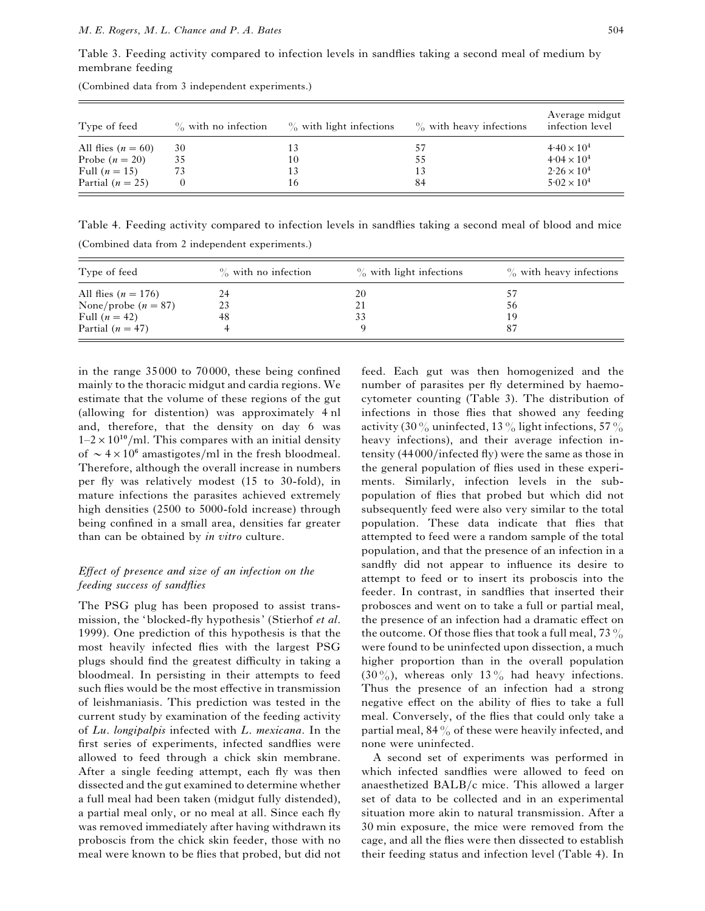Table 3. Feeding activity compared to infection levels in sandflies taking a second meal of medium by membrane feeding

| Type of feed         | $\%$ with no infection | $\%$ with light infections | $\%$ with heavy infections | Average midgut<br>infection level |
|----------------------|------------------------|----------------------------|----------------------------|-----------------------------------|
| All flies $(n = 60)$ | 30                     | 13                         | 57                         | $4.40 \times 10^{4}$              |
| Probe $(n=20)$       | 35                     | 10                         | 55                         | $4.04 \times 10^{4}$              |
| Full $(n = 15)$      | 73                     | 13                         | 13                         | $2.26 \times 10^4$                |
| Partial $(n = 25)$   | 0                      | 16                         | 84                         | $5.02 \times 10^{4}$              |

(Combined data from 3 independent experiments.)

Table 4. Feeding activity compared to infection levels in sandflies taking a second meal of blood and mice (Combined data from 2 independent experiments.)

| Type of feed          | $\%$ with no infection | $\%$ with light infections | $\%$ with heavy infections |
|-----------------------|------------------------|----------------------------|----------------------------|
| All flies $(n = 176)$ | 24                     | 20                         |                            |
| None/probe $(n = 87)$ | 23                     | 21                         | 56                         |
| Full $(n = 42)$       | 48                     | 33                         | 19                         |
| Partial $(n = 47)$    |                        |                            |                            |

in the range 35000 to 70000, these being confined mainly to the thoracic midgut and cardia regions. We estimate that the volume of these regions of the gut (allowing for distention) was approximately 4 nl and, therefore, that the density on day 6 was  $1-2\times10^{10}$ /ml. This compares with an initial density of  $\sim 4 \times 10^6$  amastigotes/ml in the fresh bloodmeal. Therefore, although the overall increase in numbers per fly was relatively modest (15 to 30-fold), in mature infections the parasites achieved extremely high densities (2500 to 5000-fold increase) through being confined in a small area, densities far greater than can be obtained by *in vitro* culture.

# *Effect of presence and size of an infection on the feeding success of sandflies*

The PSG plug has been proposed to assist transmission, the 'blocked-fly hypothesis' (Stierhof *et al*. 1999). One prediction of this hypothesis is that the most heavily infected flies with the largest PSG plugs should find the greatest difficulty in taking a bloodmeal. In persisting in their attempts to feed such flies would be the most effective in transmission of leishmaniasis. This prediction was tested in the current study by examination of the feeding activity of *Lu*. *longipalpis* infected with *L*. *mexicana*. In the first series of experiments, infected sandflies were allowed to feed through a chick skin membrane. After a single feeding attempt, each fly was then dissected and the gut examined to determine whether a full meal had been taken (midgut fully distended), a partial meal only, or no meal at all. Since each fly was removed immediately after having withdrawn its proboscis from the chick skin feeder, those with no meal were known to be flies that probed, but did not feed. Each gut was then homogenized and the number of parasites per fly determined by haemocytometer counting (Table 3). The distribution of infections in those flies that showed any feeding activity (30% uninfected, 13% light infections, 57% heavy infections), and their average infection intensity (44000/infected fly) were the same as those in the general population of flies used in these experiments. Similarly, infection levels in the subpopulation of flies that probed but which did not subsequently feed were also very similar to the total population. These data indicate that flies that attempted to feed were a random sample of the total population, and that the presence of an infection in a sandfly did not appear to influence its desire to attempt to feed or to insert its proboscis into the feeder. In contrast, in sandflies that inserted their probosces and went on to take a full or partial meal, the presence of an infection had a dramatic effect on the outcome. Of those flies that took a full meal, 73 $\%$ were found to be uninfected upon dissection, a much higher proportion than in the overall population (30%), whereas only 13% had heavy infections. Thus the presence of an infection had a strong negative effect on the ability of flies to take a full meal. Conversely, of the flies that could only take a partial meal,  $84\%$  of these were heavily infected, and none were uninfected.

A second set of experiments was performed in which infected sandflies were allowed to feed on anaesthetized  $BALB/c$  mice. This allowed a larger set of data to be collected and in an experimental situation more akin to natural transmission. After a 30 min exposure, the mice were removed from the cage, and all the flies were then dissected to establish their feeding status and infection level (Table 4). In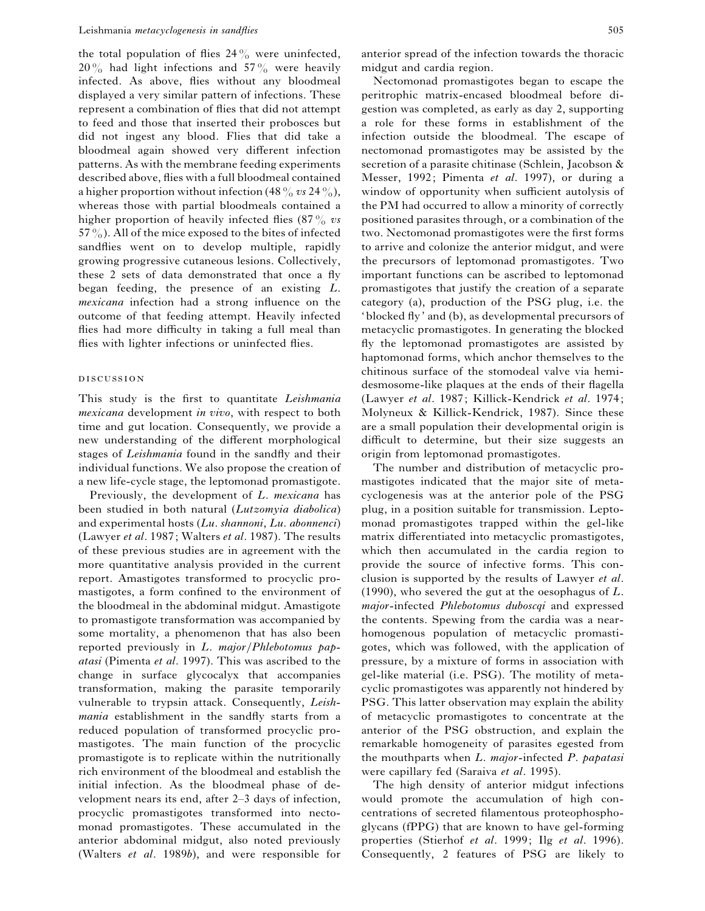the total population of flies  $24\%$  were uninfected,  $20\%$  had light infections and  $57\%$  were heavily infected. As above, flies without any bloodmeal displayed a very similar pattern of infections. These represent a combination of flies that did not attempt to feed and those that inserted their probosces but did not ingest any blood. Flies that did take a bloodmeal again showed very different infection patterns. As with the membrane feeding experiments described above, flies with a full bloodmeal contained a higher proportion without infection  $(48\% \text{ vs } 24\%),$ whereas those with partial bloodmeals contained a higher proportion of heavily infected flies (87% *vs*  $57\%$ ). All of the mice exposed to the bites of infected sandflies went on to develop multiple, rapidly growing progressive cutaneous lesions. Collectively, these 2 sets of data demonstrated that once a fly began feeding, the presence of an existing *L*. *mexicana* infection had a strong influence on the outcome of that feeding attempt. Heavily infected flies had more difficulty in taking a full meal than flies with lighter infections or uninfected flies.

## **DISCUSSION**

This study is the first to quantitate *Leishmania mexicana* development *in vivo*, with respect to both time and gut location. Consequently, we provide a new understanding of the different morphological stages of *Leishmania* found in the sandfly and their individual functions. We also propose the creation of a new life-cycle stage, the leptomonad promastigote.

Previously, the development of *L*. *mexicana* has been studied in both natural (*Lutzomyia diabolica*) and experimental hosts (*Lu*. *shannoni*, *Lu*. *abonnenci*) (Lawyer *et al*. 1987; Walters *et al*. 1987). The results of these previous studies are in agreement with the more quantitative analysis provided in the current report. Amastigotes transformed to procyclic promastigotes, a form confined to the environment of the bloodmeal in the abdominal midgut. Amastigote to promastigote transformation was accompanied by some mortality, a phenomenon that has also been reported previously in *L*. *major*}*Phlebotomus papatasi* (Pimenta *et al*. 1997). This was ascribed to the change in surface glycocalyx that accompanies transformation, making the parasite temporarily vulnerable to trypsin attack. Consequently, *Leishmania* establishment in the sandfly starts from a reduced population of transformed procyclic promastigotes. The main function of the procyclic promastigote is to replicate within the nutritionally rich environment of the bloodmeal and establish the initial infection. As the bloodmeal phase of development nears its end, after 2–3 days of infection, procyclic promastigotes transformed into nectomonad promastigotes. These accumulated in the anterior abdominal midgut, also noted previously (Walters *et al*. 1989*b*), and were responsible for anterior spread of the infection towards the thoracic midgut and cardia region.

Nectomonad promastigotes began to escape the peritrophic matrix-encased bloodmeal before digestion was completed, as early as day 2, supporting a role for these forms in establishment of the infection outside the bloodmeal. The escape of nectomonad promastigotes may be assisted by the secretion of a parasite chitinase (Schlein, Jacobson & Messer, 1992; Pimenta *et al*. 1997), or during a window of opportunity when sufficient autolysis of the PM had occurred to allow a minority of correctly positioned parasites through, or a combination of the two. Nectomonad promastigotes were the first forms to arrive and colonize the anterior midgut, and were the precursors of leptomonad promastigotes. Two important functions can be ascribed to leptomonad promastigotes that justify the creation of a separate category (a), production of the PSG plug, i.e. the 'blocked fly' and (b), as developmental precursors of metacyclic promastigotes. In generating the blocked fly the leptomonad promastigotes are assisted by haptomonad forms, which anchor themselves to the chitinous surface of the stomodeal valve via hemidesmosome-like plaques at the ends of their flagella (Lawyer *et al*. 1987; Killick-Kendrick *et al*. 1974; Molyneux & Killick-Kendrick, 1987). Since these are a small population their developmental origin is difficult to determine, but their size suggests an origin from leptomonad promastigotes.

The number and distribution of metacyclic promastigotes indicated that the major site of metacyclogenesis was at the anterior pole of the PSG plug, in a position suitable for transmission. Leptomonad promastigotes trapped within the gel-like matrix differentiated into metacyclic promastigotes, which then accumulated in the cardia region to provide the source of infective forms. This conclusion is supported by the results of Lawyer *et al*. (1990), who severed the gut at the oesophagus of *L*. *major*-infected *Phlebotomus duboscqi* and expressed the contents. Spewing from the cardia was a nearhomogenous population of metacyclic promastigotes, which was followed, with the application of pressure, by a mixture of forms in association with gel-like material (i.e. PSG). The motility of metacyclic promastigotes was apparently not hindered by PSG. This latter observation may explain the ability of metacyclic promastigotes to concentrate at the anterior of the PSG obstruction, and explain the remarkable homogeneity of parasites egested from the mouthparts when *L*. *major*-infected *P*. *papatasi* were capillary fed (Saraiva *et al*. 1995).

The high density of anterior midgut infections would promote the accumulation of high concentrations of secreted filamentous proteophosphoglycans (fPPG) that are known to have gel-forming properties (Stierhof *et al*. 1999; Ilg *et al*. 1996). Consequently, 2 features of PSG are likely to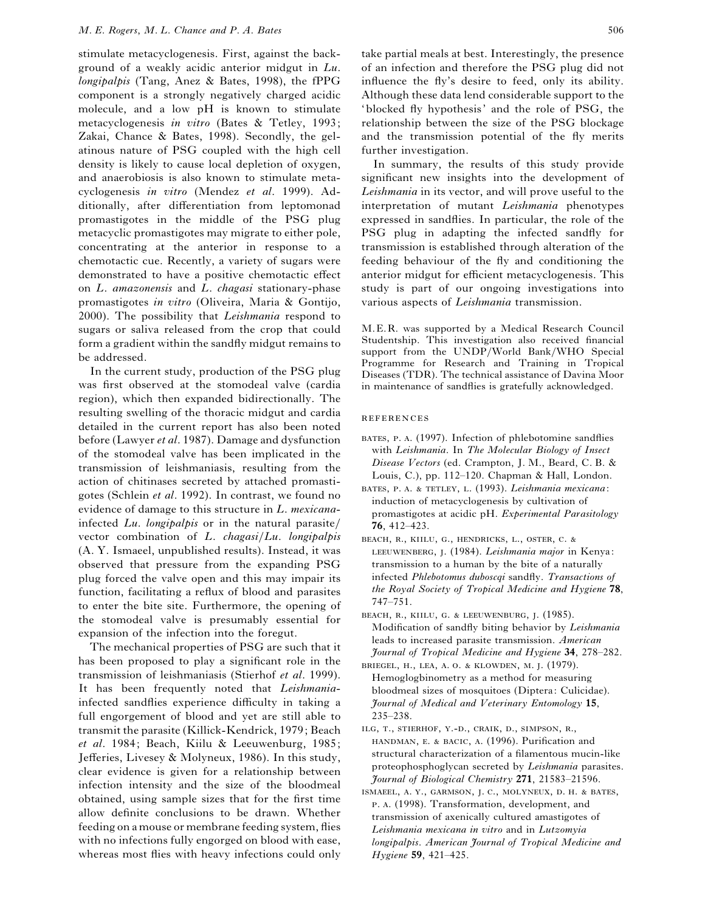stimulate metacyclogenesis. First, against the background of a weakly acidic anterior midgut in *Lu*. *longipalpis* (Tang, Anez & Bates, 1998), the fPPG component is a strongly negatively charged acidic molecule, and a low pH is known to stimulate metacyclogenesis *in vitro* (Bates & Tetley, 1993; Zakai, Chance & Bates, 1998). Secondly, the gelatinous nature of PSG coupled with the high cell density is likely to cause local depletion of oxygen, and anaerobiosis is also known to stimulate metacyclogenesis *in vitro* (Mendez *et al*. 1999). Additionally, after differentiation from leptomonad promastigotes in the middle of the PSG plug metacyclic promastigotes may migrate to either pole, concentrating at the anterior in response to a chemotactic cue. Recently, a variety of sugars were demonstrated to have a positive chemotactic effect on *L*. *amazonensis* and *L*. *chagasi* stationary-phase promastigotes *in vitro* (Oliveira, Maria & Gontijo, 2000). The possibility that *Leishmania* respond to sugars or saliva released from the crop that could form a gradient within the sandfly midgut remains to be addressed.

In the current study, production of the PSG plug was first observed at the stomodeal valve (cardia region), which then expanded bidirectionally. The resulting swelling of the thoracic midgut and cardia detailed in the current report has also been noted before (Lawyer *et al*. 1987). Damage and dysfunction of the stomodeal valve has been implicated in the transmission of leishmaniasis, resulting from the action of chitinases secreted by attached promastigotes (Schlein *et al*. 1992). In contrast, we found no evidence of damage to this structure in *L*. *mexicana*infected *Lu*. *longipalpis* or in the natural parasite} vector combination of *L*. *chagasi*}*Lu*. *longipalpis* (A. Y. Ismaeel, unpublished results). Instead, it was observed that pressure from the expanding PSG plug forced the valve open and this may impair its function, facilitating a reflux of blood and parasites to enter the bite site. Furthermore, the opening of the stomodeal valve is presumably essential for expansion of the infection into the foregut.

The mechanical properties of PSG are such that it has been proposed to play a significant role in the transmission of leishmaniasis (Stierhof *et al*. 1999). It has been frequently noted that *Leishmania*infected sandflies experience difficulty in taking a full engorgement of blood and yet are still able to transmit the parasite (Killick-Kendrick, 1979; Beach *et al*. 1984; Beach, Kiilu & Leeuwenburg, 1985; Jefferies, Livesey & Molyneux, 1986). In this study, clear evidence is given for a relationship between infection intensity and the size of the bloodmeal obtained, using sample sizes that for the first time allow definite conclusions to be drawn. Whether feeding on a mouse or membrane feeding system, flies with no infections fully engorged on blood with ease, whereas most flies with heavy infections could only take partial meals at best. Interestingly, the presence of an infection and therefore the PSG plug did not influence the fly's desire to feed, only its ability. Although these data lend considerable support to the 'blocked fly hypothesis' and the role of PSG, the relationship between the size of the PSG blockage and the transmission potential of the fly merits further investigation.

In summary, the results of this study provide significant new insights into the development of *Leishmania* in its vector, and will prove useful to the interpretation of mutant *Leishmania* phenotypes expressed in sandflies. In particular, the role of the PSG plug in adapting the infected sandfly for transmission is established through alteration of the feeding behaviour of the fly and conditioning the anterior midgut for efficient metacyclogenesis. This study is part of our ongoing investigations into various aspects of *Leishmania* transmission.

M.E.R. was supported by a Medical Research Council Studentship. This investigation also received financial support from the UNDP/World Bank/WHO Special Programme for Research and Training in Tropical Diseases (TDR). The technical assistance of Davina Moor in maintenance of sandflies is gratefully acknowledged.

#### **REFERENCES**

- BATES, P. A. (1997). Infection of phlebotomine sandflies with *Leishmania*. In *The Molecular Biology of Insect Disease Vectors* (ed. Crampton, J. M., Beard, C. B. & Louis, C.), pp. 112–120. Chapman & Hall, London.
- BATES, P. A. & TETLEY, L. (1993). *Leishmania mexicana*: induction of metacyclogenesis by cultivation of promastigotes at acidic pH. *Experimental Parasitology* **76**, 412–423.
- BEACH, R., KIILU, G., HENDRICKS, L., OSTER, C. & LEEUWENBERG, J. (1984). *Leishmania major* in Kenya: transmission to a human by the bite of a naturally infected *Phlebotomus duboscqi* sandfly. *Transactions of the Royal Society of Tropical Medicine and Hygiene* **78**, 747–751.
- BEACH, R., KIILU, G. & LEEUWENBURG, J.  $(1985)$ . Modification of sandfly biting behavior by *Leishmania* leads to increased parasite transmission. *American Journal of Tropical Medicine and Hygiene* **34**, 278–282.
- BRIEGEL, H., LEA, A. O. & KLOWDEN, M. J. (1979). Hemoglogbinometry as a method for measuring bloodmeal sizes of mosquitoes (Diptera: Culicidae). *Journal of Medical and Veterinary Entomology* **15**, 235–238.
- ILG, T., STIERHOF, Y.-D., CRAIK, D., SIMPSON, R., HANDMAN, E. & BACIC, A. (1996). Purification and structural characterization of a filamentous mucin-like proteophosphoglycan secreted by *Leishmania* parasites. *Journal of Biological Chemistry* **271**, 21583–21596.
- ISMAEEL, A. Y., GARMSON, J. C., MOLYNEUX, D. H. & BATES, P. A. (1998). Transformation, development, and transmission of axenically cultured amastigotes of *Leishmania mexicana in vitro* and in *Lutzomyia longipalpis*. *American Journal of Tropical Medicine and Hygiene* **59**, 421–425.